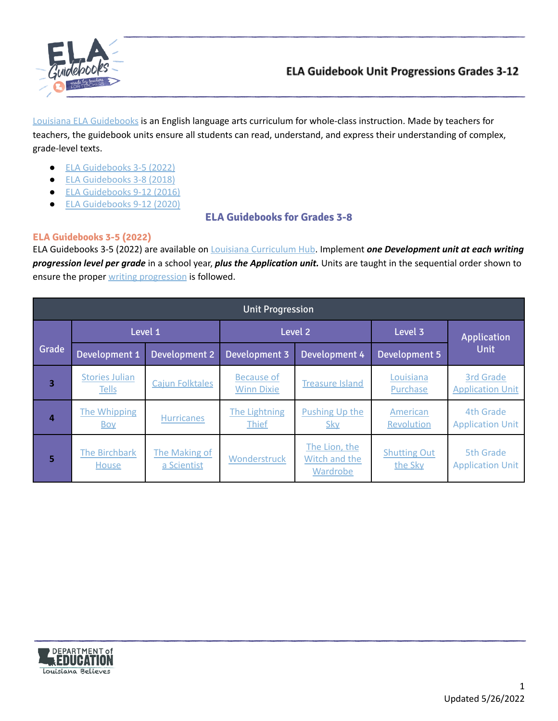

Louisiana ELA [Guidebooks](https://www.louisianabelieves.com/academics/ela-guidebooks) is an English language arts curriculum for whole-class instruction. Made by teachers for teachers, the guidebook units ensure all students can read, understand, and express their understanding of complex, grade-level texts.

- ELA [Guidebooks](#page-0-0) 3-5 (2022)
- ELA [Guidebooks](#page-1-0) 3-8 (2018)
- **ELA [Guidebooks](#page-3-0) 9-12 (2016)**
- ELA [Guidebooks](#page-3-1) 9-12 (2020)

# **ELA Guidebooks for Grades 3-8**

### <span id="page-0-0"></span>**ELA Guidebooks 3-5 (2022)**

ELA Guidebooks 3-5 (2022) are available on Louisiana [Curriculum](http://www.louisianacurriculumhub.com) Hub. Implement *one Development unit at each writing progression level per grade* in a school year, *plus the Application unit.* Units are taught in the sequential order shown to ensure the proper writing [progression](https://www.louisianabelieves.com/docs/default-source/teacher-toolbox-resources/writing-progression-table-for-the-3-5-ela-guidebooks-(2022)-units.pdf?sfvrsn=2a0a6518_3) is followed.

| <b>Unit Progression</b> |                                       |                              |                                        |                                            |                                |                                      |
|-------------------------|---------------------------------------|------------------------------|----------------------------------------|--------------------------------------------|--------------------------------|--------------------------------------|
|                         | Level 1                               |                              | Level <sub>2</sub>                     |                                            | Level 3<br>Application         |                                      |
| Grade                   | Development 1                         | <b>Development 2</b>         | Development 3                          | Development 4                              | <b>Development 5</b>           | <b>Unit</b>                          |
| 3                       | <b>Stories Julian</b><br><b>Tells</b> | <b>Cajun Folktales</b>       | <b>Because of</b><br><b>Winn Dixie</b> | <b>Treasure Island</b>                     | Louisiana<br>Purchase          | 3rd Grade<br><b>Application Unit</b> |
| $\overline{a}$          | The Whipping<br><b>Boy</b>            | <b>Hurricanes</b>            | The Lightning<br><b>Thief</b>          | Pushing Up the<br><b>Sky</b>               | American<br>Revolution         | 4th Grade<br><b>Application Unit</b> |
| 5                       | <b>The Birchbark</b><br>House         | The Making of<br>a Scientist | Wonderstruck                           | The Lion, the<br>Witch and the<br>Wardrobe | <b>Shutting Out</b><br>the Sky | 5th Grade<br><b>Application Unit</b> |

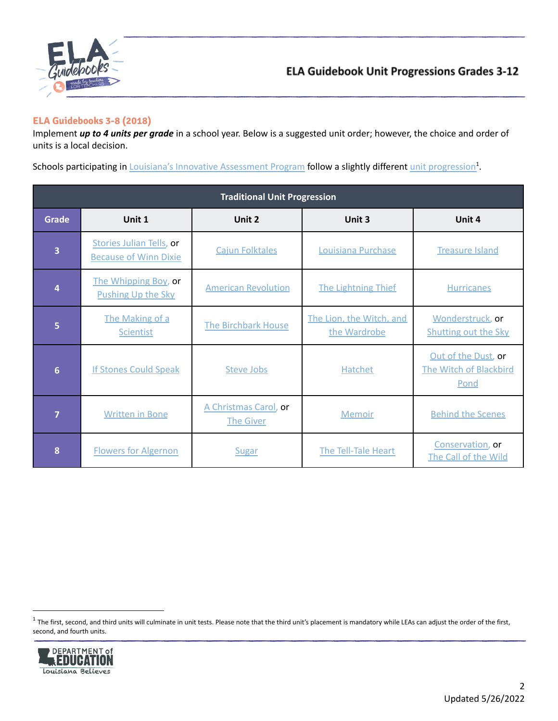

#### <span id="page-1-0"></span>**ELA Guidebooks 3-8 (2018)**

Implement *up to 4 units per grade* in a school year. Below is a suggested unit order; however, the choice and order of units is a local decision.

Schools participating in *Louisiana's Innovative [Assessment](https://www.louisianabelieves.com/docs/default-source/key-initiatives/louisianas-key-initiatives---innovative-assessment-pilot.pdf?sfvrsn=a6219f1f_18) Program* follow a slightly different unit [progression](#page-2-0)<sup>1</sup>.

| <b>Traditional Unit Progression</b> |                                                          |                                           |                                          |                                                              |  |  |
|-------------------------------------|----------------------------------------------------------|-------------------------------------------|------------------------------------------|--------------------------------------------------------------|--|--|
| <b>Grade</b>                        | Unit 1                                                   | Unit 2                                    | Unit 3                                   | Unit 4                                                       |  |  |
| 3                                   | Stories Julian Tells, or<br><b>Because of Winn Dixie</b> | <b>Cajun Folktales</b>                    | Louisiana Purchase                       | <b>Treasure Island</b>                                       |  |  |
| Δ                                   | The Whipping Boy, or<br><b>Pushing Up the Sky</b>        | <b>American Revolution</b>                | <b>The Lightning Thief</b>               | <b>Hurricanes</b>                                            |  |  |
| 5                                   | The Making of a<br>Scientist                             | The Birchbark House                       | The Lion, the Witch, and<br>the Wardrobe | Wonderstruck, or<br><b>Shutting out the Sky</b>              |  |  |
| $6\phantom{1}$                      | <b>If Stones Could Speak</b>                             | <b>Steve Jobs</b>                         |                                          | Out of the Dust, or<br><b>The Witch of Blackbird</b><br>Pond |  |  |
| 7                                   | <b>Written in Bone</b>                                   | A Christmas Carol, or<br><b>The Giver</b> | <b>Memoir</b>                            | <b>Behind the Scenes</b>                                     |  |  |
| 8                                   | <b>Flowers for Algernon</b>                              | Sugar                                     | The Tell-Tale Heart                      | Conservation, or<br>The Call of the Wild                     |  |  |

 $^1$  The first, second, and third units will culminate in unit tests. Please note that the third unit's placement is mandatory while LEAs can adjust the order of the first, second, and fourth units.

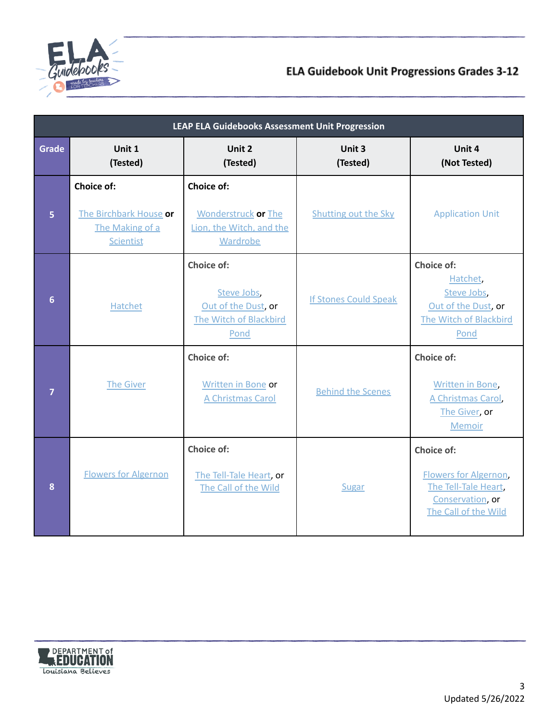

<span id="page-2-0"></span>

| <b>LEAP ELA Guidebooks Assessment Unit Progression</b> |                                                                                               |                                                                                         |                              |                                                                                                         |  |
|--------------------------------------------------------|-----------------------------------------------------------------------------------------------|-----------------------------------------------------------------------------------------|------------------------------|---------------------------------------------------------------------------------------------------------|--|
| Grade                                                  | Unit 1<br>(Tested)                                                                            | Unit 2<br>(Tested)                                                                      | Unit 3<br>(Tested)           | Unit 4<br>(Not Tested)                                                                                  |  |
| $\overline{5}$                                         | Choice of:<br>The Birchbark House or<br>The Making of a<br><b>Scientist</b>                   | Choice of:<br><b>Wonderstruck or The</b><br>Lion, the Witch, and the<br><b>Wardrobe</b> | <b>Shutting out the Sky</b>  | <b>Application Unit</b>                                                                                 |  |
| $6\phantom{a}$                                         | Choice of:<br>Steve Jobs,<br>Out of the Dust, or<br>Hatchet<br>The Witch of Blackbird<br>Pond |                                                                                         | <b>If Stones Could Speak</b> | Choice of:<br>Hatchet,<br>Steve Jobs,<br>Out of the Dust, or<br>The Witch of Blackbird<br>Pond          |  |
| $\overline{7}$                                         | <b>The Giver</b>                                                                              | Choice of:<br>Written in Bone or<br>A Christmas Carol                                   | <b>Behind the Scenes</b>     | Choice of:<br>Written in Bone,<br>A Christmas Carol,<br>The Giver, or<br><b>Memoir</b>                  |  |
| 8                                                      | <b>Flowers for Algernon</b>                                                                   | Choice of:<br>The Tell-Tale Heart, or<br>The Call of the Wild                           | Sugar                        | Choice of:<br>Flowers for Algernon,<br>The Tell-Tale Heart,<br>Conservation, or<br>The Call of the Wild |  |